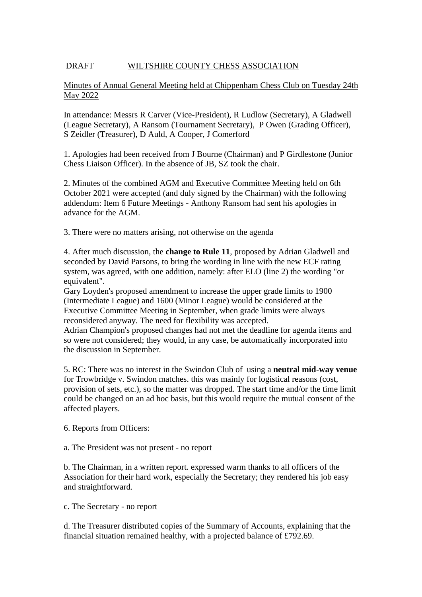## DRAFT WILTSHIRE COUNTY CHESS ASSOCIATION

## Minutes of Annual General Meeting held at Chippenham Chess Club on Tuesday 24th May 2022

In attendance: Messrs R Carver (Vice-President), R Ludlow (Secretary), A Gladwell (League Secretary), A Ransom (Tournament Secretary), P Owen (Grading Officer), S Zeidler (Treasurer), D Auld, A Cooper, J Comerford

1. Apologies had been received from J Bourne (Chairman) and P Girdlestone (Junior Chess Liaison Officer). In the absence of JB, SZ took the chair.

2. Minutes of the combined AGM and Executive Committee Meeting held on 6th October 2021 were accepted (and duly signed by the Chairman) with the following addendum: Item 6 Future Meetings - Anthony Ransom had sent his apologies in advance for the AGM.

3. There were no matters arising, not otherwise on the agenda

4. After much discussion, the **change to Rule 11**, proposed by Adrian Gladwell and seconded by David Parsons, to bring the wording in line with the new ECF rating system, was agreed, with one addition, namely: after ELO (line 2) the wording "or equivalent".

Gary Loyden's proposed amendment to increase the upper grade limits to 1900 (Intermediate League) and 1600 (Minor League) would be considered at the Executive Committee Meeting in September, when grade limits were always reconsidered anyway. The need for flexibility was accepted.

Adrian Champion's proposed changes had not met the deadline for agenda items and so were not considered; they would, in any case, be automatically incorporated into the discussion in September.

5. RC: There was no interest in the Swindon Club of using a **neutral mid-way venue** for Trowbridge v. Swindon matches. this was mainly for logistical reasons (cost, provision of sets, etc.), so the matter was dropped. The start time and/or the time limit could be changed on an ad hoc basis, but this would require the mutual consent of the affected players.

6. Reports from Officers:

a. The President was not present - no report

b. The Chairman, in a written report. expressed warm thanks to all officers of the Association for their hard work, especially the Secretary; they rendered his job easy and straightforward.

c. The Secretary - no report

d. The Treasurer distributed copies of the Summary of Accounts, explaining that the financial situation remained healthy, with a projected balance of £792.69.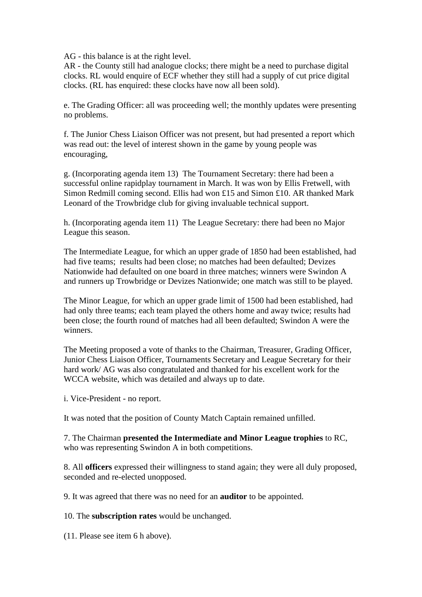AG - this balance is at the right level.

AR - the County still had analogue clocks; there might be a need to purchase digital clocks. RL would enquire of ECF whether they still had a supply of cut price digital clocks. (RL has enquired: these clocks have now all been sold).

e. The Grading Officer: all was proceeding well; the monthly updates were presenting no problems.

f. The Junior Chess Liaison Officer was not present, but had presented a report which was read out: the level of interest shown in the game by young people was encouraging,

g. (Incorporating agenda item 13) The Tournament Secretary: there had been a successful online rapidplay tournament in March. It was won by Ellis Fretwell, with Simon Redmill coming second. Ellis had won £15 and Simon £10. AR thanked Mark Leonard of the Trowbridge club for giving invaluable technical support.

h. (Incorporating agenda item 11) The League Secretary: there had been no Major League this season.

The Intermediate League, for which an upper grade of 1850 had been established, had had five teams; results had been close; no matches had been defaulted; Devizes Nationwide had defaulted on one board in three matches; winners were Swindon A and runners up Trowbridge or Devizes Nationwide; one match was still to be played.

The Minor League, for which an upper grade limit of 1500 had been established, had had only three teams; each team played the others home and away twice; results had been close; the fourth round of matches had all been defaulted; Swindon A were the winners.

The Meeting proposed a vote of thanks to the Chairman, Treasurer, Grading Officer, Junior Chess Liaison Officer, Tournaments Secretary and League Secretary for their hard work/ AG was also congratulated and thanked for his excellent work for the WCCA website, which was detailed and always up to date.

i. Vice-President - no report.

It was noted that the position of County Match Captain remained unfilled.

7. The Chairman **presented the Intermediate and Minor League trophies** to RC, who was representing Swindon A in both competitions.

8. All **officers** expressed their willingness to stand again; they were all duly proposed, seconded and re-elected unopposed.

9. It was agreed that there was no need for an **auditor** to be appointed.

10. The **subscription rates** would be unchanged.

(11. Please see item 6 h above).